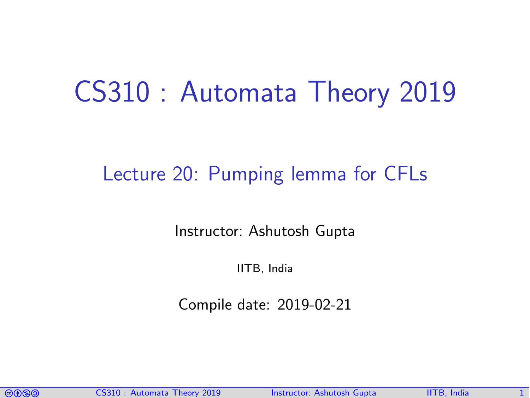# CS310 : Automata Theory 2019

#### Lecture 20: Pumping lemma for CFLs

Instructor: [Ashutosh Gupta](http://www.cse.iitb.ac.in/~akg/)

IITB, India

Compile date: 2019-02-21

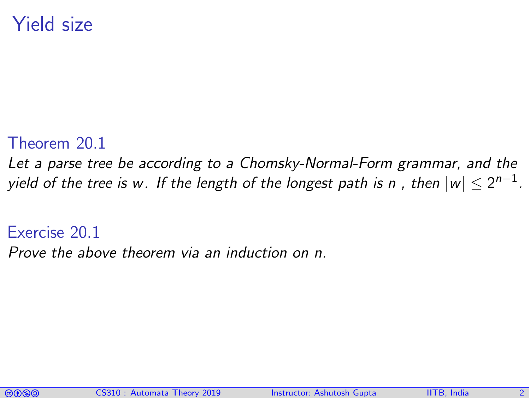#### Yield size

#### Theorem 20.1

<span id="page-1-0"></span>Let a parse tree be according to a Chomsky-Normal-Form grammar, and the yield of the tree is w. If the length of the longest path is n , then  $|w| \leq 2^{n-1}.$ 

#### Exercise 20.1

Prove the above theorem via an induction on n.

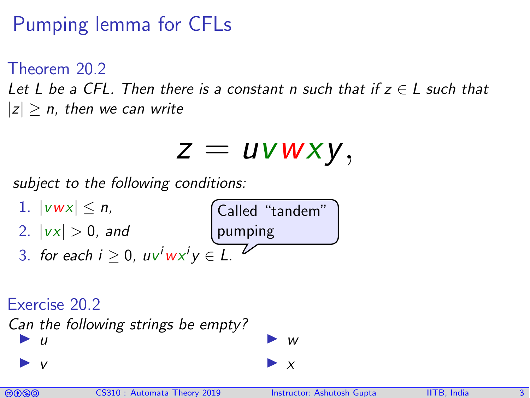## Pumping lemma for CFLs

Theorem 20.2

Let L be a CFL. Then there is a constant n such that if  $z \in L$  such that  $|z| > n$ , then we can write

$$
z = uvwxy,
$$

subject to the following conditions:



#### Exercise 20.2

Can the following strings be empty?  $\overline{u}$ 

$$
\begin{array}{c}\n\blacktriangleright\n\end{array}
$$



 $\blacktriangleright$  v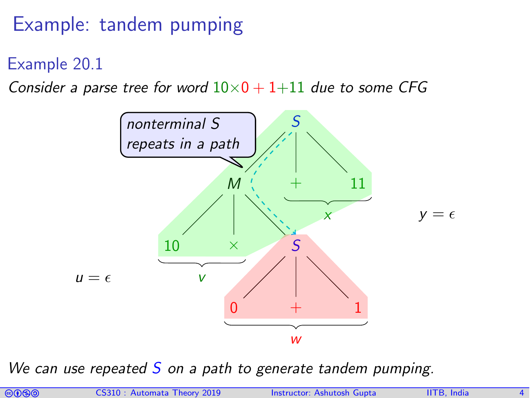#### Example: tandem pumping

Example 20.1

Consider a parse tree for word  $10\times 0 + 1+11$  due to some CFG



We can use repeated  $S$  on a path to generate tandem pumping.

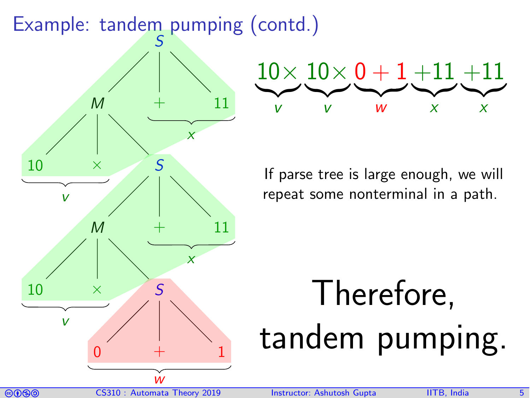#### Example: tandem pumping (contd.)





If parse tree is large enough, we will repeat some nonterminal in a path.

# Therefore, tandem pumping.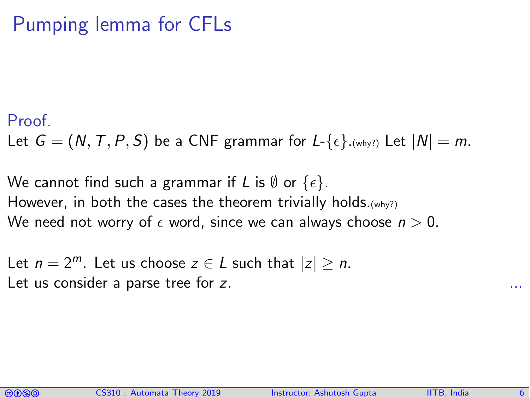#### Pumping lemma for CFLs

#### Proof.

Let  $G = (N, T, P, S)$  be a CNF grammar for  $L \{ \epsilon \}$ . (why?) Let  $|N| = m$ .

We cannot find such a grammar if L is  $\emptyset$  or  $\{\epsilon\}$ . However, in both the cases the theorem trivially holds.(why?) We need not worry of  $\epsilon$  word, since we can always choose  $n > 0$ .

Let  $n = 2^m$ . Let us choose  $z \in L$  such that  $|z| > n$ . Let us consider a parse tree for  $z$ .

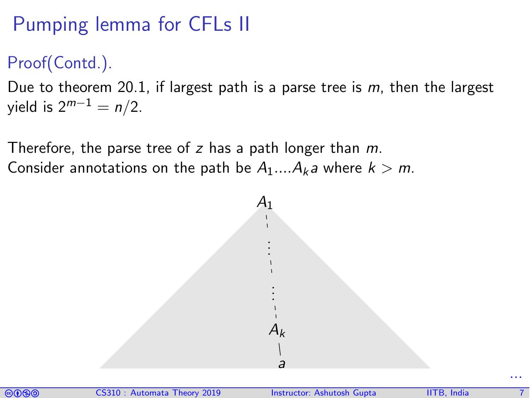## Pumping lemma for CFLs II

#### Proof(Contd.).

Due to theorem [20.1,](#page-1-0) if largest path is a parse tree is  $m$ , then the largest yield is  $2^{m-1} = n/2$ .

Therefore, the parse tree of z has a path longer than  $m$ . Consider annotations on the path be  $A_1...A_k$  where  $k > m$ .



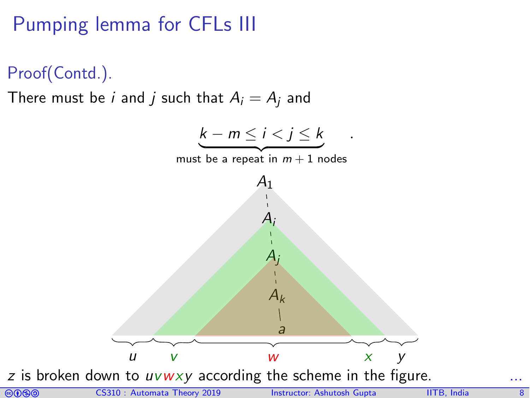## Pumping lemma for CFLs III



There must be *i* and *j* such that  $A_i = A_j$  and



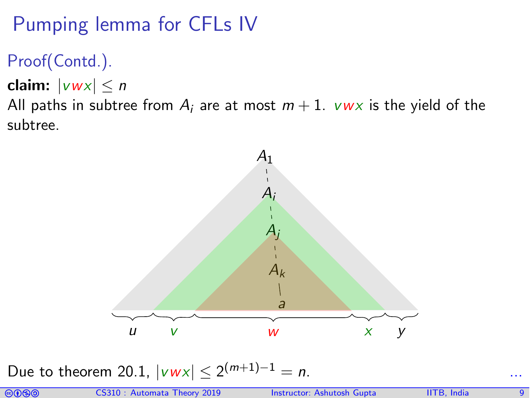## Pumping lemma for CFLs IV

#### Proof(Contd.).

claim:  $|vwx| \leq n$ 

All paths in subtree from  $A_i$  are at most  $m+1$ .  $vwx$  is the yield of the subtree.



Due to theorem [20.1,](#page-1-0)  $|vwx| ≤ 2^{(m+1)-1} = n$ . ...

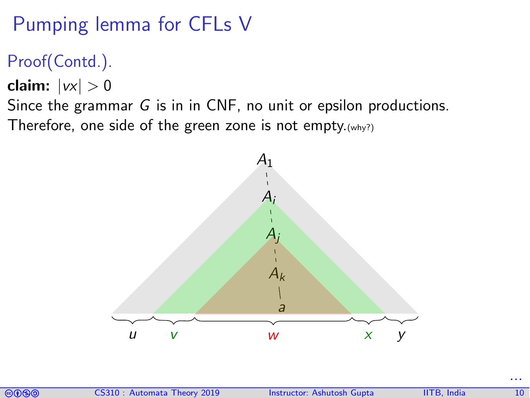## Pumping lemma for CFLs V

#### Proof(Contd.).

claim:  $|vx| > 0$ 

Since the grammar G is in in CNF, no unit or epsilon productions. Therefore, one side of the green zone is not empty.(why?)





...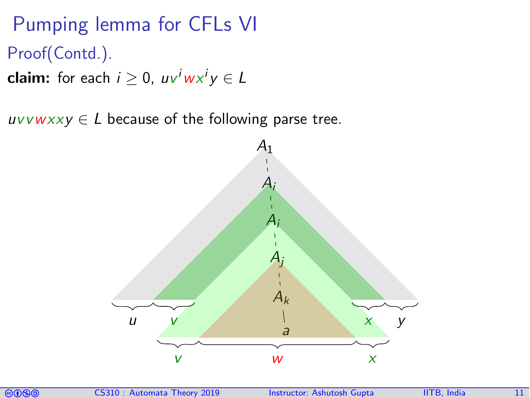## Pumping lemma for CFLs VI Proof(Contd.).

**claim:** for each  $i\geq 0$ ,  $u v^i w x^i y \in L$ 

 $uvvwxxy \in L$  because of the following parse tree.



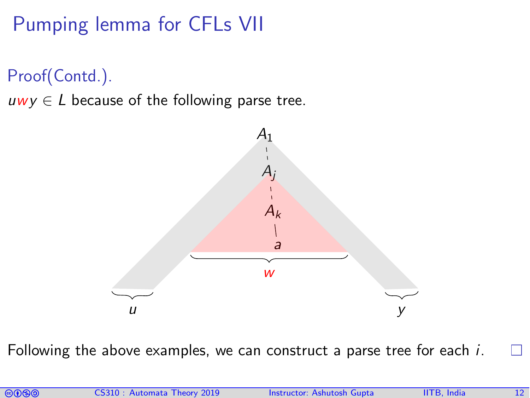## Pumping lemma for CFLs VII

Proof(Contd.).

 $uwy \in L$  because of the following parse tree.



Following the above examples, we can construct a parse tree for each *i*. П

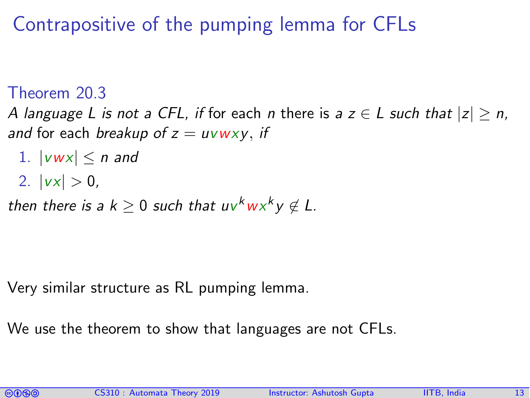#### Contrapositive of the pumping lemma for CFLs

#### Theorem 20.3

A language L is not a CFL, if for each n there is a  $z \in L$  such that  $|z| \ge n$ , and for each breakup of  $z = uvwxy$ , if

- 1.  $|vwx| \leq n$  and
- 2.  $|vx| > 0$ ,

then there is a  $k \geq 0$  such that  $u v^k w x^k y \notin L$ .

Very similar structure as RL pumping lemma.

We use the theorem to show that languages are not CFLs.

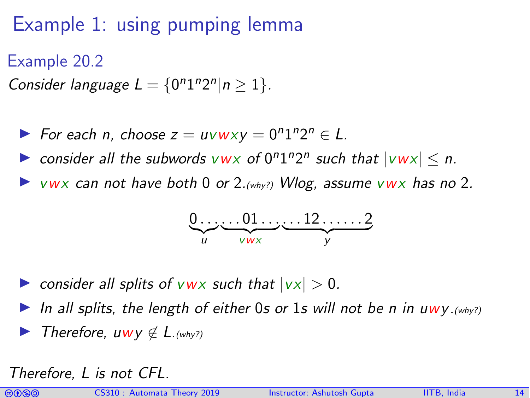## Example 1: using pumping lemma

Example 20.2

Consider language  $L = \{0^n 1^n 2^n | n \ge 1\}$ .

- For each n, choose  $z = uvwxy = 0^n1^n2^n \in L$ .
- consider all the subwords  $vwx$  of  $0^n1^n2^n$  such that  $|vwx| \le n$ .
- $V$ WX can not have both 0 or 2.(why?) Wlog, assume vwx has no 2.

$$
\underbrace{0\ldots\ldots01\ldots}_{u\ldots v_{\text{wx}}\ldots 12\ldots12}_{y}
$$

 $\triangleright$  consider all splits of vwx such that  $|vx| > 0$ .

In all splits, the length of either 0s or 1s will not be n in uwy.  $(why?)$ Therefore, uwy  $\notin$  L. (why?)

Therefore, L is not CFL.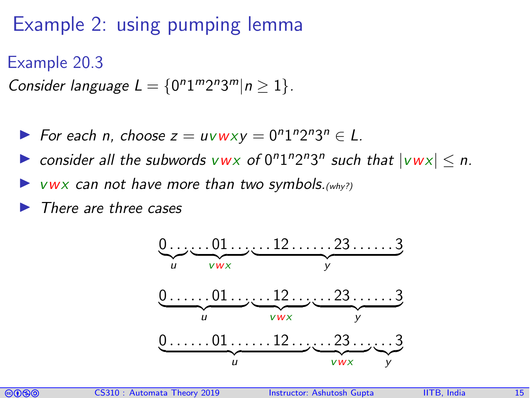## Example 2: using pumping lemma

#### Example 20.3

Consider language  $L = \{0^n 1^m 2^n 3^m | n \ge 1\}.$ 

For each n, choose  $z = uvwxy = 0^n1^n2^n3^n \in L$ .

consider all the subwords  $vwx$  of  $0^n1^n2^n3^n$  such that  $|vwx| \le n$ .

 $\triangleright$  vwx can not have more than two symbols. (why?)

I There are three cases



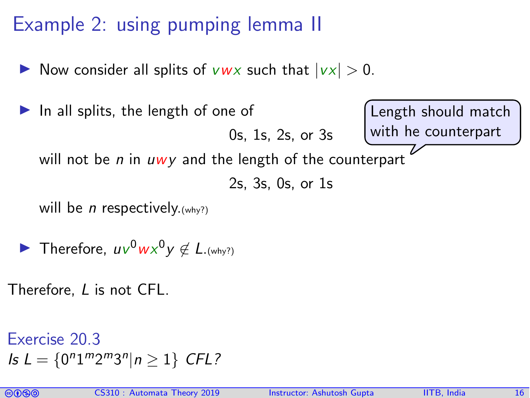## Example 2: using pumping lemma II

- Now consider all splits of vwx such that  $|vx| > 0$ .
- In all splits, the length of one of 0s, 1s, 2s, or 3s will not be  $n$  in  $uwy$  and the length of the counterpart 2s, 3s, 0s, or 1s will be *n* respectively.  $(why?)$ Length should match with he counterpart
- Therefore,  $uv^0wx^0y \notin L_{.(why?)}$
- Therefore, L is not CFL.

Exercise 20.3  $I_s L = \{0^n 1^m 2^m 3^n | n \ge 1\}$  CFL?

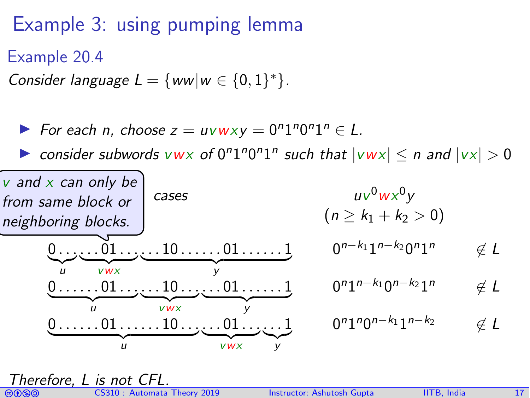## Example 3: using pumping lemma

Example 20.4

Consider language  $L = \{ww|w \in \{0,1\}^*\}.$ 

For each n, choose  $z = uvwxy = 0^n1^n0^n1^n \in L$ .

► consider subwords  $vw \times o f 0^n 1^n 0^n 1^n$  such that  $|vw \times| \le n$  and  $|vx| > 0$